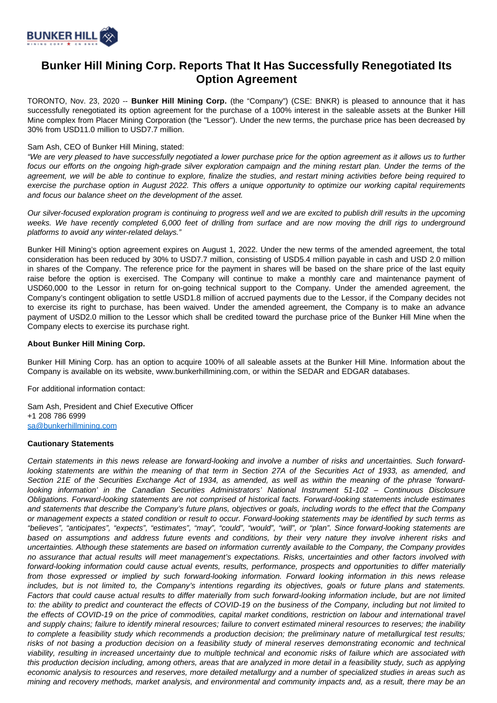

# **Bunker Hill Mining Corp. Reports That It Has Successfully Renegotiated Its Option Agreement**

TORONTO, Nov. 23, 2020 -- **Bunker Hill Mining Corp.** (the "Company") (CSE: BNKR) is pleased to announce that it has successfully renegotiated its option agreement for the purchase of a 100% interest in the saleable assets at the Bunker Hill Mine complex from Placer Mining Corporation (the "Lessor"). Under the new terms, the purchase price has been decreased by 30% from USD11.0 million to USD7.7 million.

## Sam Ash, CEO of Bunker Hill Mining, stated:

"We are very pleased to have successfully negotiated a lower purchase price for the option agreement as it allows us to further focus our efforts on the ongoing high-grade silver exploration campaign and the mining restart plan. Under the terms of the agreement, we will be able to continue to explore, finalize the studies, and restart mining activities before being required to exercise the purchase option in August 2022. This offers a unique opportunity to optimize our working capital requirements and focus our balance sheet on the development of the asset.

Our silver-focused exploration program is continuing to progress well and we are excited to publish drill results in the upcoming weeks. We have recently completed 6,000 feet of drilling from surface and are now moving the drill rigs to underground platforms to avoid any winter-related delays."

Bunker Hill Mining's option agreement expires on August 1, 2022. Under the new terms of the amended agreement, the total consideration has been reduced by 30% to USD7.7 million, consisting of USD5.4 million payable in cash and USD 2.0 million in shares of the Company. The reference price for the payment in shares will be based on the share price of the last equity raise before the option is exercised. The Company will continue to make a monthly care and maintenance payment of USD60,000 to the Lessor in return for on-going technical support to the Company. Under the amended agreement, the Company's contingent obligation to settle USD1.8 million of accrued payments due to the Lessor, if the Company decides not to exercise its right to purchase, has been waived. Under the amended agreement, the Company is to make an advance payment of USD2.0 million to the Lessor which shall be credited toward the purchase price of the Bunker Hill Mine when the Company elects to exercise its purchase right.

### **About Bunker Hill Mining Corp.**

Bunker Hill Mining Corp. has an option to acquire 100% of all saleable assets at the Bunker Hill Mine. Information about the Company is available on its website, www.bunkerhillmining.com, or within the SEDAR and EDGAR databases.

For additional information contact:

Sam Ash, President and Chief Executive Officer +1 208 786 6999 [sa@bunkerhillmining.com](mailto:sa@bunkerhillmining.com)

### **Cautionary Statements**

Certain statements in this news release are forward-looking and involve a number of risks and uncertainties. Such forwardlooking statements are within the meaning of that term in Section 27A of the Securities Act of 1933, as amended, and Section 21E of the Securities Exchange Act of 1934, as amended, as well as within the meaning of the phrase 'forwardlooking information' in the Canadian Securities Administrators' National Instrument 51-102 – Continuous Disclosure Obligations. Forward-looking statements are not comprised of historical facts. Forward-looking statements include estimates and statements that describe the Company's future plans, objectives or goals, including words to the effect that the Company or management expects a stated condition or result to occur. Forward-looking statements may be identified by such terms as "believes", "anticipates", "expects", "estimates", "may", "could", "would", "will", or "plan". Since forward-looking statements are based on assumptions and address future events and conditions, by their very nature they involve inherent risks and uncertainties. Although these statements are based on information currently available to the Company, the Company provides no assurance that actual results will meet management's expectations. Risks, uncertainties and other factors involved with forward-looking information could cause actual events, results, performance, prospects and opportunities to differ materially from those expressed or implied by such forward-looking information. Forward looking information in this news release includes, but is not limited to, the Company's intentions regarding its objectives, goals or future plans and statements. Factors that could cause actual results to differ materially from such forward-looking information include, but are not limited to: the ability to predict and counteract the effects of COVID-19 on the business of the Company, including but not limited to the effects of COVID-19 on the price of commodities, capital market conditions, restriction on labour and international travel and supply chains; failure to identify mineral resources; failure to convert estimated mineral resources to reserves; the inability to complete a feasibility study which recommends a production decision; the preliminary nature of metallurgical test results; risks of not basing a production decision on a feasibility study of mineral reserves demonstrating economic and technical viability, resulting in increased uncertainty due to multiple technical and economic risks of failure which are associated with this production decision including, among others, areas that are analyzed in more detail in a feasibility study, such as applying economic analysis to resources and reserves, more detailed metallurgy and a number of specialized studies in areas such as mining and recovery methods, market analysis, and environmental and community impacts and, as a result, there may be an